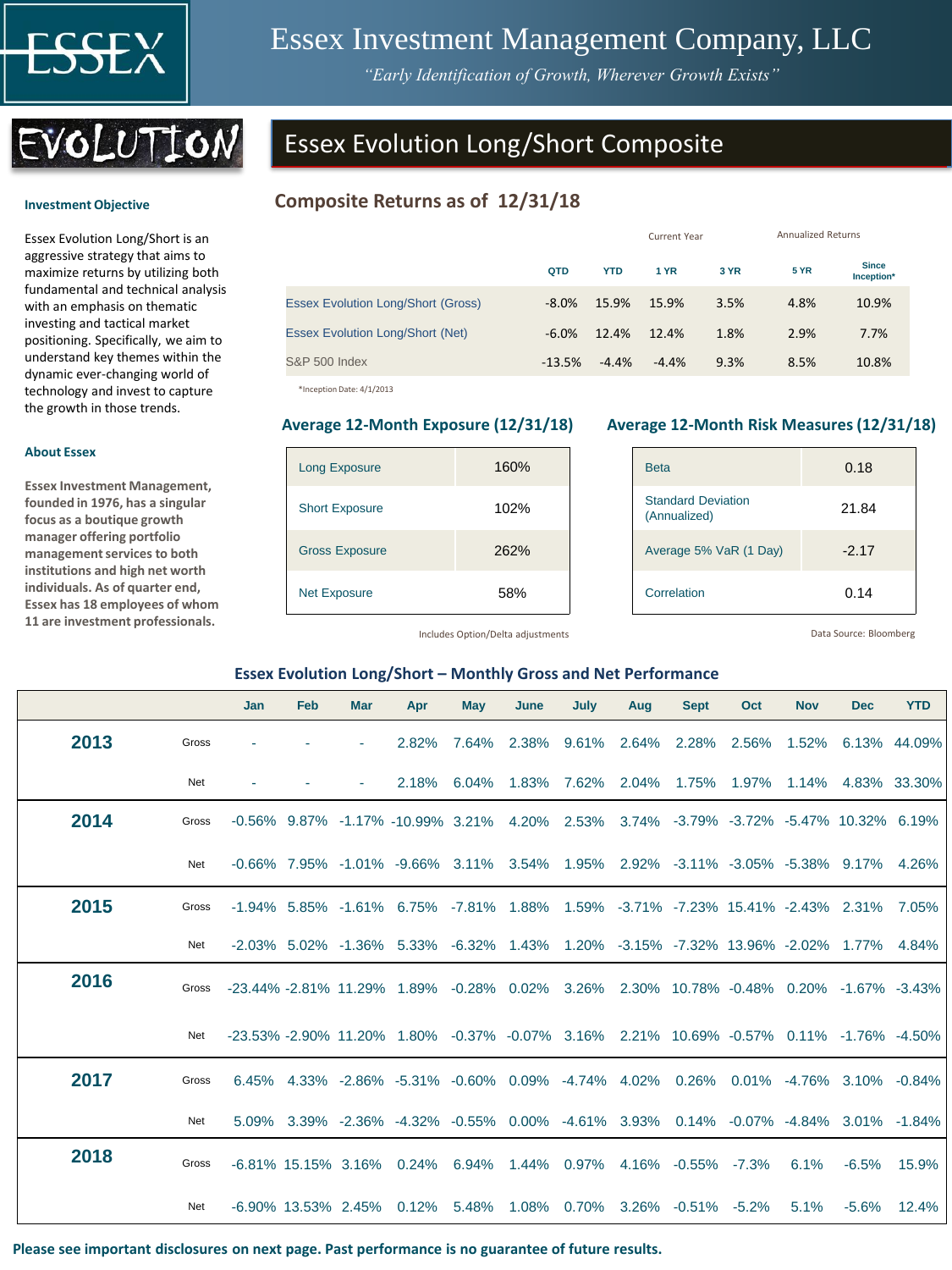

**Investment Objective** 

**About Essex**

**Essex Investment Management, founded in 1976, has a singular focus as a boutique growth manager offering portfolio management services to both institutions and high net worth individuals. As of quarter end, Essex has 18 employees of whom 11 are investment professionals.** 

# Essex Investment Management Company, LLC

*"Early Identification of Growth, Wherever Growth Exists"*



Essex Evolution Long/Short is an aggressive strategy that aims to maximize returns by utilizing both fundamental and technical analysis with an emphasis on thematic investing and tactical market positioning. Specifically, we aim to understand key themes within the dynamic ever-changing world of technology and invest to capture the growth in those trends.

# Essex Evolution Long/Short Composite

# **Composite Returns as of 12/31/18**

|                                           |          |            | Current Year | <b>Annualized Returns</b> |             |                            |
|-------------------------------------------|----------|------------|--------------|---------------------------|-------------|----------------------------|
|                                           | QTD      | <b>YTD</b> | 1 YR         | 3 YR                      | <b>5 YR</b> | <b>Since</b><br>Inception* |
| <b>Essex Evolution Long/Short (Gross)</b> | $-8.0\%$ | 15.9%      | 15.9%        | 3.5%                      | 4.8%        | 10.9%                      |
| <b>Essex Evolution Long/Short (Net)</b>   | $-6.0%$  | 12.4%      | 12.4%        | 1.8%                      | 2.9%        | 7.7%                       |
| <b>S&amp;P 500 Index</b>                  | $-13.5%$ | $-4.4%$    | $-4.4%$      | 9.3%                      | 8.5%        | 10.8%                      |

\*Inception Date: 4/1/2013

| <b>Long Exposure</b>  | 160% |
|-----------------------|------|
| <b>Short Exposure</b> | 102% |
| <b>Gross Exposure</b> | 262% |
| <b>Net Exposure</b>   | 58%  |

#### **Average 12-Month Exposure (12/31/18) Average 12-Month Risk Measures (12/31/18)**

| <b>Beta</b>                               | 0.18    |
|-------------------------------------------|---------|
| <b>Standard Deviation</b><br>(Annualized) | 21.84   |
| Average 5% VaR (1 Day)                    | $-2.17$ |
| Correlation                               | 0.14    |

Includes Option/Delta adjustments

Data Source: Bloomberg

#### **Essex Evolution Long/Short – Monthly Gross and Net Performance**

|      |       | <b>Jan</b>                                                                              | Feb | <b>Mar</b>             | Apr                                                                                                   | May   | June  | July        | Aug   | <b>Sept</b>                                | Oct   | <b>Nov</b> | <b>Dec</b>         | <b>YTD</b>   |
|------|-------|-----------------------------------------------------------------------------------------|-----|------------------------|-------------------------------------------------------------------------------------------------------|-------|-------|-------------|-------|--------------------------------------------|-------|------------|--------------------|--------------|
| 2013 | Gross |                                                                                         |     |                        | 2.82%                                                                                                 | 7.64% |       | 2.38% 9.61% |       | 2.64% 2.28% 2.56%                          |       |            | 1.52% 6.13% 44.09% |              |
|      | Net   |                                                                                         |     |                        | 2.18%                                                                                                 | 6.04% | 1.83% | 7.62%       | 2.04% | 1.75%                                      | 1.97% | 1.14%      |                    | 4.83% 33.30% |
| 2014 | Gross |                                                                                         |     |                        | -0.56% 9.87% -1.17% -10.99% 3.21% 4.20% 2.53% 3.74% -3.79% -3.72% -5.47% 10.32% 6.19%                 |       |       |             |       |                                            |       |            |                    |              |
|      | Net   |                                                                                         |     |                        | $-0.66\%$ 7.95% $-1.01\%$ $-9.66\%$ 3.11% 3.54% 1.95% 2.92% $-3.11\%$ $-3.05\%$ $-5.38\%$ 9.17% 4.26% |       |       |             |       |                                            |       |            |                    |              |
| 2015 | Gross |                                                                                         |     |                        | $-1.94\%$ 5.85% $-1.61\%$ 6.75% $-7.81\%$ 1.88% 1.59% $-3.71\%$ $-7.23\%$ 15.41% $-2.43\%$ 2.31%      |       |       |             |       |                                            |       |            |                    | 7.05%        |
|      | Net   |                                                                                         |     |                        | -2.03% 5.02% -1.36% 5.33% -6.32% 1.43% 1.20% -3.15% -7.32% 13.96% -2.02% 1.77%                        |       |       |             |       |                                            |       |            |                    | 4.84%        |
| 2016 | Gross | -23.44% -2.81% 11.29% 1.89% -0.28% 0.02% 3.26% 2.30% 10.78% -0.48% 0.20% -1.67% -3.43%  |     |                        |                                                                                                       |       |       |             |       |                                            |       |            |                    |              |
|      | Net   | -23.53% -2.90% 11.20% 1.80% -0.37% -0.07% 3.16% 2.21% 10.69% -0.57% 0.11% -1.76% -4.50% |     |                        |                                                                                                       |       |       |             |       |                                            |       |            |                    |              |
| 2017 | Gross |                                                                                         |     |                        | 6.45% 4.33% -2.86% -5.31% -0.60% 0.09% -4.74% 4.02% 0.26% 0.01% -4.76% 3.10% -0.84%                   |       |       |             |       |                                            |       |            |                    |              |
|      | Net   |                                                                                         |     |                        | 5.09% 3.39% -2.36% -4.32% -0.55% 0.00% -4.61% 3.93% 0.14% -0.07% -4.84% 3.01% -1.84%                  |       |       |             |       |                                            |       |            |                    |              |
| 2018 | Gross |                                                                                         |     | $-6.81\%$ 15.15% 3.16% |                                                                                                       |       |       |             |       | 0.24% 6.94% 1.44% 0.97% 4.16% -0.55% -7.3% |       | 6.1%       | $-6.5%$            | 15.9%        |
|      | Net   |                                                                                         |     | $-6.90\%$ 13.53% 2.45% | $0.12\%$ 5.48%                                                                                        |       | 1.08% |             |       | 0.70% 3.26% -0.51% -5.2%                   |       | 5.1%       | $-5.6%$            | 12.4%        |

**Please see important disclosures on next page. Past performance is no guarantee of future results.**